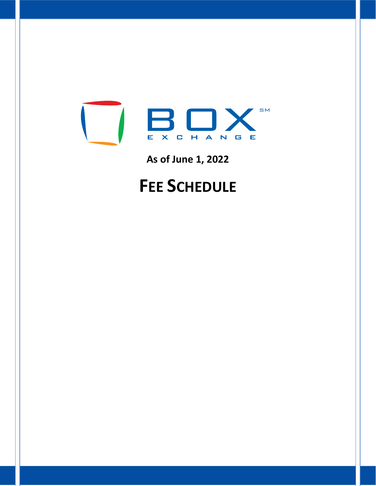

**As of June 1, 2022**

# **FEE SCHEDULE**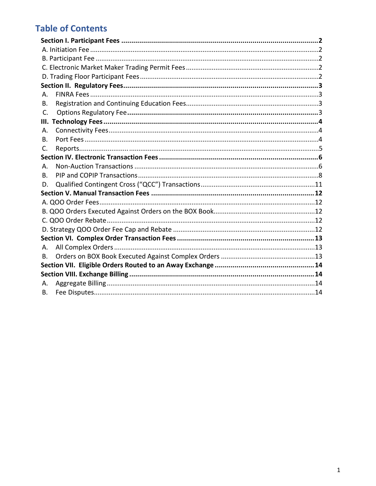# **Table of Contents**

| А.             |
|----------------|
| В.             |
| C.             |
| Ш.             |
| А.             |
| В.             |
| $\mathsf{C}$ . |
|                |
| А.             |
| В.             |
| D.             |
|                |
|                |
|                |
|                |
|                |
|                |
| А.             |
| В.             |
|                |
|                |
| Α.             |
| В.             |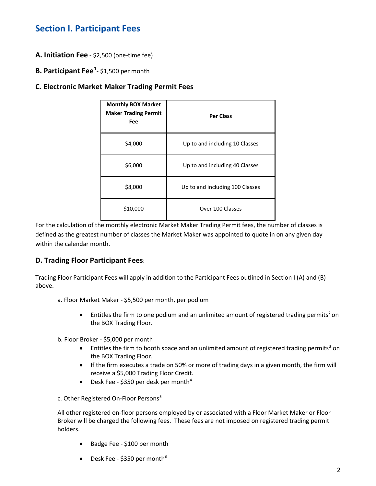# <span id="page-2-0"></span>**Section I. Participant Fees**

- <span id="page-2-1"></span>**A. Initiation Fee** - \$2,500 (one-time fee)
- <span id="page-2-2"></span>**B. Participant Fee<sup>[1](#page-15-0)</sup>**- \$1,500 per month

#### <span id="page-2-3"></span>**C. Electronic Market Maker Trading Permit Fees**

| <b>Monthly BOX Market</b><br><b>Maker Trading Permit</b><br>Fee | <b>Per Class</b>                |
|-----------------------------------------------------------------|---------------------------------|
| \$4,000                                                         | Up to and including 10 Classes  |
| \$6,000                                                         | Up to and including 40 Classes  |
| \$8,000                                                         | Up to and including 100 Classes |
| \$10,000                                                        | Over 100 Classes                |

For the calculation of the monthly electronic Market Maker Trading Permit fees, the number of classes is defined as the greatest number of classes the Market Maker was appointed to quote in on any given day within the calendar month.

### <span id="page-2-4"></span>**D. Trading Floor Participant Fees**:

Trading Floor Participant Fees will apply in addition to the Participant Fees outlined in Section I (A) and (B) above.

- a. Floor Market Maker \$5,500 per month, per podium
	- Entitles the firm to one podium and an unlimited amount of registered trading permits<sup>[2](#page-15-1)</sup> on the BOX Trading Floor.
- b. Floor Broker \$5,000 per month
	- Entitles the firm to booth space and an unlimited amount of registered trading permits<sup>[3](#page-15-2)</sup> on the BOX Trading Floor.
	- If the firm executes a trade on 50% or more of trading days in a given month, the firm will receive a \$5,000 Trading Floor Credit.
	- Desk Fee \$350 per desk per month<sup>[4](#page-15-3)</sup>

c. Other Registered On-Floor Persons<sup>[5](#page-15-4)</sup>

All other registered on-floor persons employed by or associated with a Floor Market Maker or Floor Broker will be charged the following fees. These fees are not imposed on registered trading permit holders.

- Badge Fee \$100 per month
- Desk Fee \$350 per month<sup>[6](#page-15-5)</sup>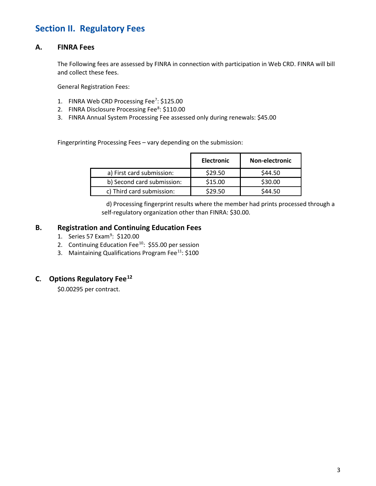# <span id="page-3-0"></span>**Section II. Regulatory Fees**

#### <span id="page-3-1"></span>**A. FINRA Fees**

The Following fees are assessed by FINRA in connection with participation in Web CRD. FINRA will bill and collect these fees.

General Registration Fees:

- 1. FINRA Web CRD Processing Fee<sup>7</sup>: \$125.00
- 2. FINRA Disclosure Processing Fee<sup>[8](#page-15-7)</sup>: \$110.00
- 3. FINRA Annual System Processing Fee assessed only during renewals: \$45.00

Fingerprinting Processing Fees – vary depending on the submission:

|                            | <b>Electronic</b> | <b>Non-electronic</b> |
|----------------------------|-------------------|-----------------------|
| a) First card submission:  | \$29.50           | \$44.50               |
| b) Second card submission: | \$15.00           | \$30.00               |
| c) Third card submission:  | \$29.50           | \$44.50               |

 d) Processing fingerprint results where the member had prints processed through a self-regulatory organization other than FINRA: \$30.00.

#### <span id="page-3-2"></span>**B. Registration and Continuing Education Fees**

- 1. Series 57 Exam<sup>[9](#page-15-8)</sup>: \$120.00
- 2. Continuing Education Fee<sup>10</sup>: \$55.00 per session
- 3. Maintaining Qualifications Program Fee $^{11}$  $^{11}$  $^{11}$ : \$100

# <span id="page-3-3"></span>**C. Options Regulatory Fee[12](#page-15-11)**

\$0.00295 per contract.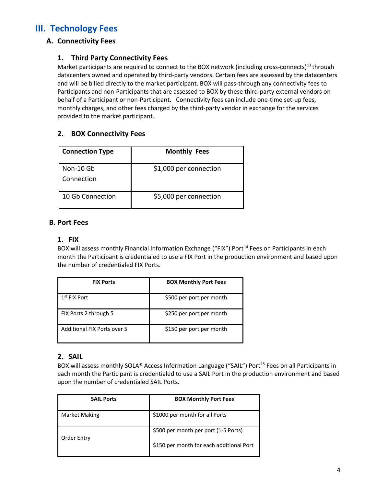# <span id="page-4-1"></span><span id="page-4-0"></span>**III. Technology Fees**

# **A. Connectivity Fees**

### **1. Third Party Connectivity Fees**

Market participants are required to connect to the BOX network (including cross-connects)<sup>[13](#page-15-12)</sup> through datacenters owned and operated by third-party vendors. Certain fees are assessed by the datacenters and will be billed directly to the market participant. BOX will pass-through any connectivity fees to Participants and non-Participants that are assessed to BOX by these third-party external vendors on behalf of a Participant or non-Participant. Connectivity fees can include one-time set-up fees, monthly charges, and other fees charged by the third-party vendor in exchange for the services provided to the market participant.

### **2. BOX Connectivity Fees**

| <b>Connection Type</b>  | <b>Monthly Fees</b>    |
|-------------------------|------------------------|
| Non-10 Gb<br>Connection | \$1,000 per connection |
| 10 Gb Connection        | \$5,000 per connection |

#### <span id="page-4-2"></span>**B. Port Fees**

#### **1. FIX**

BOX will assess monthly Financial Information Exchange ("FIX") Port<sup>[14](#page-15-13)</sup> Fees on Participants in each month the Participant is credentialed to use a FIX Port in the production environment and based upon the number of credentialed FIX Ports.

| <b>FIX Ports</b>            | <b>BOX Monthly Port Fees</b> |
|-----------------------------|------------------------------|
| $1st$ FIX Port              | \$500 per port per month     |
| FIX Ports 2 through 5       | \$250 per port per month     |
| Additional FIX Ports over 5 | \$150 per port per month     |

#### **2. SAIL**

BOX will assess monthly SOLA® Access Information Language ("SAIL") Port<sup>[15](#page-15-14)</sup> Fees on all Participants in each month the Participant is credentialed to use a SAIL Port in the production environment and based upon the number of credentialed SAIL Ports.

| <b>SAIL Ports</b>    | <b>BOX Monthly Port Fees</b>             |
|----------------------|------------------------------------------|
| <b>Market Making</b> | \$1000 per month for all Ports           |
| Order Entry          | \$500 per month per port (1-5 Ports)     |
|                      | \$150 per month for each additional Port |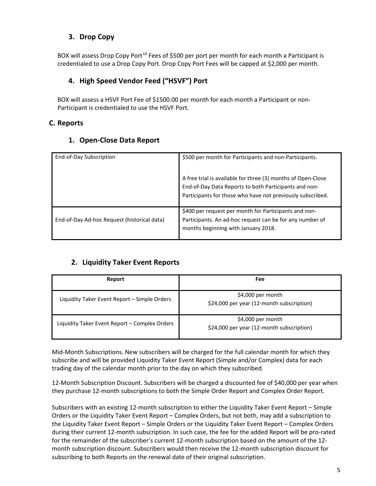# **3. Drop Copy**

BOX will assess Drop Copy Port<sup>[16](#page-15-15)</sup> Fees of \$500 per port per month for each month a Participant is credentialed to use a Drop Copy Port. Drop Copy Port Fees will be capped at \$2,000 per month.

# **4. High Speed Vendor Feed ("HSVF") Port**

BOX will assess a HSVF Port Fee of \$1500.00 per month for each month a Participant or non-Participant is credentialed to use the HSVF Port.

# <span id="page-5-0"></span>**C. Reports**

# **1. Open-Close Data Report**

| End-of-Day Subscription                     | \$500 per month for Participants and non-Participants.                                                                                                                              |
|---------------------------------------------|-------------------------------------------------------------------------------------------------------------------------------------------------------------------------------------|
|                                             | A free trial is available for three (3) months of Open-Close<br>End-of-Day Data Reports to both Participants and non-<br>Participants for those who have not previously subscribed. |
| End-of-Day Ad-hoc Request (historical data) | \$400 per request per month for Participants and non-<br>Participants. An ad-hoc request can be for any number of<br>months beginning with January 2018.                            |

### **2. Liquidity Taker Event Reports**

| Report                                        | Fee                                                             |
|-----------------------------------------------|-----------------------------------------------------------------|
| Liquidity Taker Event Report - Simple Orders  | $$4,000$ per month<br>\$24,000 per year (12-month subscription) |
| Liquidity Taker Event Report - Complex Orders | $$4,000$ per month<br>\$24,000 per year (12-month subscription) |

Mid-Month Subscriptions. New subscribers will be charged for the full calendar month for which they subscribe and will be provided Liquidity Taker Event Report (Simple and/or Complex) data for each trading day of the calendar month prior to the day on which they subscribed.

12-Month Subscription Discount. Subscribers will be charged a discounted fee of \$40,000 per year when they purchase 12-month subscriptions to both the Simple Order Report and Complex Order Report.

Subscribers with an existing 12-month subscription to either the Liquidity Taker Event Report – Simple Orders or the Liquidity Taker Event Report – Complex Orders, but not both, may add a subscription to the Liquidity Taker Event Report – Simple Orders or the Liquidity Taker Event Report – Complex Orders during their current 12-month subscription. In such case, the fee for the added Report will be pro-rated for the remainder of the subscriber's current 12-month subscription based on the amount of the 12 month subscription discount. Subscribers would then receive the 12-month subscription discount for subscribing to both Reports on the renewal date of their original subscription.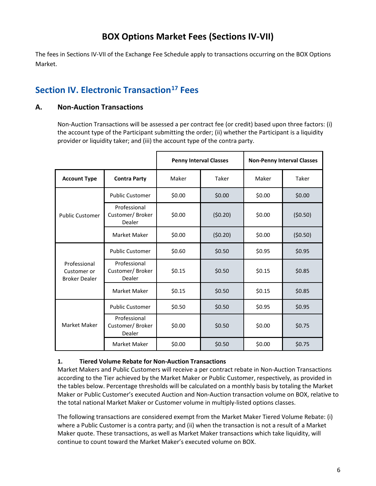# **BOX Options Market Fees (Sections IV-VII)**

The fees in Sections IV-VII of the Exchange Fee Schedule apply to transactions occurring on the BOX Options Market.

# <span id="page-6-0"></span>**Section IV. Electronic Transaction[17](#page-15-16) Fees**

# <span id="page-6-1"></span>**A. Non-Auction Transactions**

Non-Auction Transactions will be assessed a per contract fee (or credit) based upon three factors: (i) the account type of the Participant submitting the order; (ii) whether the Participant is a liquidity provider or liquidity taker; and (iii) the account type of the contra party.

|                                                     | <b>Penny Interval Classes</b>             |        |         |        | <b>Non-Penny Interval Classes</b> |
|-----------------------------------------------------|-------------------------------------------|--------|---------|--------|-----------------------------------|
| <b>Account Type</b>                                 | <b>Contra Party</b>                       | Maker  | Taker   | Maker  | Taker                             |
|                                                     | <b>Public Customer</b>                    | \$0.00 | \$0.00  | \$0.00 | \$0.00                            |
| <b>Public Customer</b>                              | Professional<br>Customer/Broker<br>Dealer | \$0.00 | (50.20) | \$0.00 | (50.50)                           |
|                                                     | Market Maker                              | \$0.00 | (50.20) | \$0.00 | (50.50)                           |
| Professional<br>Customer or<br><b>Broker Dealer</b> | <b>Public Customer</b>                    | \$0.60 | \$0.50  | \$0.95 | \$0.95                            |
|                                                     | Professional<br>Customer/Broker<br>Dealer | \$0.15 | \$0.50  | \$0.15 | \$0.85                            |
|                                                     | Market Maker                              | \$0.15 | \$0.50  | \$0.15 | \$0.85                            |
|                                                     | <b>Public Customer</b>                    | \$0.50 | \$0.50  | \$0.95 | \$0.95                            |
| Market Maker                                        | Professional<br>Customer/Broker<br>Dealer | \$0.00 | \$0.50  | \$0.00 | \$0.75                            |
|                                                     | Market Maker                              | \$0.00 | \$0.50  | \$0.00 | \$0.75                            |

### **1. Tiered Volume Rebate for Non-Auction Transactions**

Market Makers and Public Customers will receive a per contract rebate in Non-Auction Transactions according to the Tier achieved by the Market Maker or Public Customer, respectively, as provided in the tables below. Percentage thresholds will be calculated on a monthly basis by totaling the Market Maker or Public Customer's executed Auction and Non-Auction transaction volume on BOX, relative to the total national Market Maker or Customer volume in multiply-listed options classes.

The following transactions are considered exempt from the Market Maker Tiered Volume Rebate: (i) where a Public Customer is a contra party; and (ii) when the transaction is not a result of a Market Maker quote. These transactions, as well as Market Maker transactions which take liquidity, will continue to count toward the Market Maker's executed volume on BOX.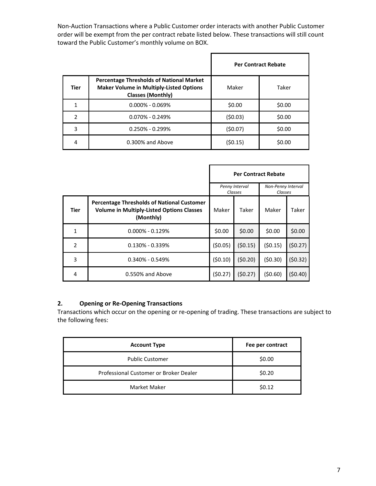Non-Auction Transactions where a Public Customer order interacts with another Public Customer order will be exempt from the per contract rebate listed below. These transactions will still count toward the Public Customer's monthly volume on BOX.

ŕ

|               |                                                                                                                               | <b>Per Contract Rebate</b> |        |  |
|---------------|-------------------------------------------------------------------------------------------------------------------------------|----------------------------|--------|--|
| <b>Tier</b>   | <b>Percentage Thresholds of National Market</b><br><b>Maker Volume in Multiply-Listed Options</b><br><b>Classes (Monthly)</b> | Maker                      | Taker  |  |
| 1             | $0.000\% - 0.069\%$                                                                                                           | \$0.00                     | \$0.00 |  |
| $\mathcal{P}$ | $0.070\% - 0.249\%$                                                                                                           | (50.03)                    | \$0.00 |  |
| 3             | $0.250\% - 0.299\%$                                                                                                           | (50.07)                    | \$0.00 |  |
| 4             | $0.300\%$ and Above                                                                                                           | (\$0.15)                   | \$0.00 |  |

|                |                                                                                                                    | <b>Per Contract Rebate</b>                                 |         |         |         |
|----------------|--------------------------------------------------------------------------------------------------------------------|------------------------------------------------------------|---------|---------|---------|
|                |                                                                                                                    | Penny Interval<br>Non-Penny Interval<br>Classes<br>Classes |         |         |         |
| <b>Tier</b>    | <b>Percentage Thresholds of National Customer</b><br><b>Volume in Multiply-Listed Options Classes</b><br>(Monthly) | Maker                                                      | Taker   | Maker   | Taker   |
| 1              | $0.000\% - 0.129\%$                                                                                                | \$0.00                                                     | \$0.00  | \$0.00  | \$0.00  |
| $\overline{2}$ | $0.130\% - 0.339\%$                                                                                                | (50.05)                                                    | (50.15) | (50.15) | (50.27) |
| 3              | $0.340\% - 0.549\%$                                                                                                | (50.10)                                                    | (50.20) | (50.30) | (50.32) |
| 4              | 0.550% and Above                                                                                                   | (50.27)                                                    | (50.27) | (50.60) | (50.40) |

#### **2. Opening or Re-Opening Transactions**

Transactions which occur on the opening or re-opening of trading. These transactions are subject to the following fees:

<span id="page-7-0"></span>

| <b>Account Type</b>                    | Fee per contract |
|----------------------------------------|------------------|
| <b>Public Customer</b>                 | \$0.00           |
| Professional Customer or Broker Dealer | \$0.20           |
| Market Maker                           | \$0.12           |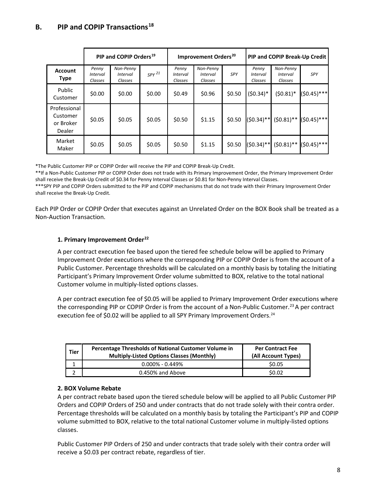# **B. PIP and COPIP Transactions[18](#page-15-17)**

|                                                 | PIP and COPIP Orders <sup>19</sup>  |                                         |            |                                     | Improvement Orders <sup>20</sup>        |        | PIP and COPIP Break-Up Credit       |                                         |               |
|-------------------------------------------------|-------------------------------------|-----------------------------------------|------------|-------------------------------------|-----------------------------------------|--------|-------------------------------------|-----------------------------------------|---------------|
| <b>Account</b><br><b>Type</b>                   | Penny<br><i>Interval</i><br>Classes | Non-Penny<br><i>Interval</i><br>Classes | $SPY^{21}$ | Penny<br><i>Interval</i><br>Classes | Non-Penny<br><i>Interval</i><br>Classes | SPY    | Penny<br><b>Interval</b><br>Classes | Non-Penny<br><i>Interval</i><br>Classes | SPY           |
| Public<br>Customer                              | \$0.00                              | \$0.00                                  | \$0.00     | \$0.49                              | \$0.96                                  | \$0.50 | $(50.34)^*$                         | $(50.81)^*$                             | $(50.45)***$  |
| Professional<br>Customer<br>or Broker<br>Dealer | \$0.05                              | \$0.05                                  | \$0.05     | \$0.50                              | \$1.15                                  | \$0.50 | $(50.34)$ **                        | $(50.81)$ **                            | $(50.45)***$  |
| Market<br>Maker                                 | \$0.05                              | \$0.05                                  | \$0.05     | \$0.50                              | \$1.15                                  | \$0.50 | $(50.34)$ **                        | $(50.81)$ **                            | $(50.45)$ *** |

\*The Public Customer PIP or COPIP Order will receive the PIP and COPIP Break-Up Credit.

\*\*If a Non-Public Customer PIP or COPIP Order does not trade with its Primary Improvement Order, the Primary Improvement Order shall receive the Break-Up Credit of \$0.34 for Penny Interval Classes or \$0.81 for Non-Penny Interval Classes.

\*\*\*SPY PIP and COPIP Orders submitted to the PIP and COPIP mechanisms that do not trade with their Primary Improvement Order shall receive the Break-Up Credit.

Each PIP Order or COPIP Order that executes against an Unrelated Order on the BOX Book shall be treated as a Non-Auction Transaction.

#### **1. Primary Improvement Order[22](#page-16-0)**

A per contract execution fee based upon the tiered fee schedule below will be applied to Primary Improvement Order executions where the corresponding PIP or COPIP Order is from the account of a Public Customer. Percentage thresholds will be calculated on a monthly basis by totaling the Initiating Participant's Primary Improvement Order volume submitted to BOX, relative to the total national Customer volume in multiply-listed options classes.

A per contract execution fee of \$0.05 will be applied to Primary Improvement Order executions where the corresponding PIP or COPIP Order is from the account of a Non-Public Customer.<sup>[23](#page-16-1)</sup> A per contract execution fee of \$0.02 will be applied to all SPY Primary Improvement Orders. [24](#page-16-2) 

| <b>Tier</b> | <b>Percentage Thresholds of National Customer Volume in</b><br><b>Multiply-Listed Options Classes (Monthly)</b> | <b>Per Contract Fee</b><br>(All Account Types) |
|-------------|-----------------------------------------------------------------------------------------------------------------|------------------------------------------------|
|             | $0.000\%$ - 0.449%                                                                                              | \$0.05                                         |
|             | 0.450% and Above                                                                                                | S0.02                                          |

#### **2. BOX Volume Rebate**

A per contract rebate based upon the tiered schedule below will be applied to all Public Customer PIP Orders and COPIP Orders of 250 and under contracts that do not trade solely with their contra order. Percentage thresholds will be calculated on a monthly basis by totaling the Participant's PIP and COPIP volume submitted to BOX, relative to the total national Customer volume in multiply-listed options classes.

Public Customer PIP Orders of 250 and under contracts that trade solely with their contra order will receive a \$0.03 per contract rebate, regardless of tier.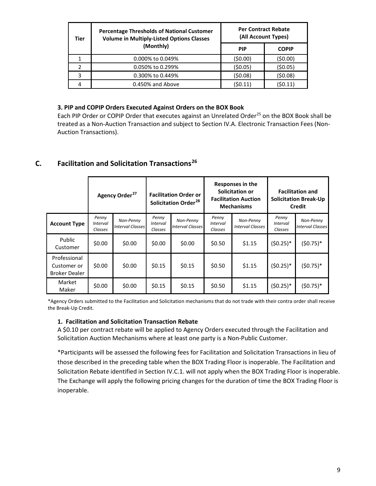| Tier | <b>Percentage Thresholds of National Customer</b><br><b>Volume in Multiply-Listed Options Classes</b> |            | <b>Per Contract Rebate</b><br>(All Account Types) |
|------|-------------------------------------------------------------------------------------------------------|------------|---------------------------------------------------|
|      | (Monthly)                                                                                             | <b>PIP</b> | <b>COPIP</b>                                      |
|      | 0.000% to 0.049%                                                                                      | (\$0.00)   | (\$0.00)                                          |
|      | 0.050% to 0.299%                                                                                      | (50.05)    | (\$0.05)                                          |
| 3    | 0.300% to 0.449%                                                                                      | (\$0.08)   | (\$0.08)                                          |
| 4    | 0.450% and Above                                                                                      | (\$0.11)   | (\$0.11                                           |

#### **3. PIP and COPIP Orders Executed Against Orders on the BOX Book**

Each PIP Order or COPIP Order that executes against an Unrelated Order<sup>[25](#page-16-3)</sup> on the BOX Book shall be treated as a Non-Auction Transaction and subject to Section IV.A. Electronic Transaction Fees (Non-Auction Transactions).

# **C. Facilitation and Solicitation Transactions[26](#page-16-4)**

|                                                     | Agency Order <sup>27</sup>          |                                      | <b>Facilitation Order or</b><br>Solicitation Order <sup>28</sup> |                                      | Responses in the<br>Solicitation or<br><b>Facilitation Auction</b><br><b>Mechanisms</b> |                                      | <b>Facilitation and</b><br><b>Solicitation Break-Up</b><br>Credit |                                      |
|-----------------------------------------------------|-------------------------------------|--------------------------------------|------------------------------------------------------------------|--------------------------------------|-----------------------------------------------------------------------------------------|--------------------------------------|-------------------------------------------------------------------|--------------------------------------|
| <b>Account Type</b>                                 | Penny<br><i>Interval</i><br>Classes | Non-Penny<br><b>Interval Classes</b> | Penny<br><b>Interval</b><br>Classes                              | Non-Penny<br><b>Interval Classes</b> | Penny<br><b>Interval</b><br>Classes                                                     | Non-Penny<br><b>Interval Classes</b> | Penny<br><b>Interval</b><br>Classes                               | Non-Penny<br><b>Interval Classes</b> |
| Public<br>Customer                                  | \$0.00                              | \$0.00                               | \$0.00                                                           | \$0.00                               | \$0.50                                                                                  | \$1.15                               | $(50.25)^*$                                                       | $(50.75)^*$                          |
| Professional<br>Customer or<br><b>Broker Dealer</b> | \$0.00                              | \$0.00                               | \$0.15                                                           | \$0.15                               | \$0.50                                                                                  | \$1.15                               | $(50.25)^*$                                                       | $(50.75)^*$                          |
| Market<br>Maker                                     | \$0.00                              | \$0.00                               | \$0.15                                                           | \$0.15                               | \$0.50                                                                                  | \$1.15                               | $(50.25)^*$                                                       | (\$0.75)*                            |

\*Agency Orders submitted to the Facilitation and Solicitation mechanisms that do not trade with their contra order shall receive the Break-Up Credit.

#### **1. Facilitation and Solicitation Transaction Rebate**

A \$0.10 per contract rebate will be applied to Agency Orders executed through the Facilitation and Solicitation Auction Mechanisms where at least one party is a Non-Public Customer.

\*Participants will be assessed the following fees for Facilitation and Solicitation Transactions in lieu of those described in the preceding table when the BOX Trading Floor is inoperable. The Facilitation and Solicitation Rebate identified in Section IV.C.1. will not apply when the BOX Trading Floor is inoperable. The Exchange will apply the following pricing changes for the duration of time the BOX Trading Floor is inoperable.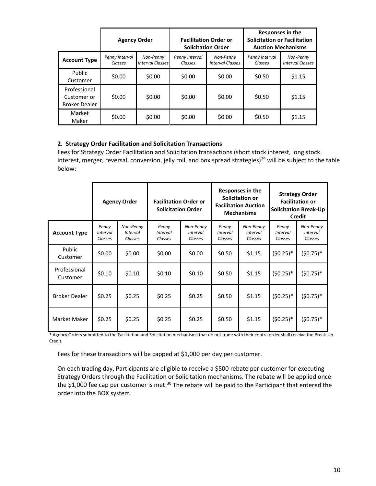|                                                     | <b>Agency Order</b>       |                                      | <b>Solicitation Order</b> | <b>Facilitation Order or</b>         | Responses in the<br><b>Solicitation or Facilitation</b><br><b>Auction Mechanisms</b> |                                      |  |
|-----------------------------------------------------|---------------------------|--------------------------------------|---------------------------|--------------------------------------|--------------------------------------------------------------------------------------|--------------------------------------|--|
| <b>Account Type</b>                                 | Penny Interval<br>Classes | Non-Penny<br><b>Interval Classes</b> | Penny Interval<br>Classes | Non-Penny<br><b>Interval Classes</b> | Penny Interval<br>Classes                                                            | Non-Penny<br><b>Interval Classes</b> |  |
| Public<br>Customer                                  | \$0.00                    | \$0.00                               | \$0.00                    | \$0.00                               | \$0.50                                                                               | \$1.15                               |  |
| Professional<br>Customer or<br><b>Broker Dealer</b> | \$0.00                    | \$0.00                               | \$0.00                    | \$0.00                               | \$0.50                                                                               | \$1.15                               |  |
| Market<br>Maker                                     | \$0.00                    | \$0.00                               | \$0.00                    | \$0.00                               | \$0.50                                                                               | \$1.15                               |  |

#### **2. Strategy Order Facilitation and Solicitation Transactions**

Fees for Strategy Order Facilitation and Solicitation transactions (short stock interest, long stock interest, merger, reversal, conversion, jelly roll, and box spread strategies)<sup>[29](#page-16-7)</sup> will be subject to the table below:

|                          | <b>Agency Order</b>                 |                                         | <b>Facilitation Order or</b><br><b>Solicitation Order</b> |                                  | Responses in the<br>Solicitation or<br><b>Facilitation Auction</b><br><b>Mechanisms</b> |                                         | <b>Strategy Order</b><br><b>Facilitation or</b><br><b>Solicitation Break-Up</b><br>Credit |                                  |
|--------------------------|-------------------------------------|-----------------------------------------|-----------------------------------------------------------|----------------------------------|-----------------------------------------------------------------------------------------|-----------------------------------------|-------------------------------------------------------------------------------------------|----------------------------------|
| <b>Account Type</b>      | Penny<br><b>Interval</b><br>Classes | Non-Penny<br><b>Interval</b><br>Classes | Penny<br><b>Interval</b><br>Classes                       | Non-Penny<br>Interval<br>Classes | Penny<br><b>Interval</b><br>Classes                                                     | Non-Penny<br><b>Interval</b><br>Classes | Penny<br>Interval<br>Classes                                                              | Non-Penny<br>Interval<br>Classes |
| Public<br>Customer       | \$0.00                              | \$0.00                                  | \$0.00                                                    | \$0.00                           | \$0.50                                                                                  | \$1.15                                  | $(50.25)^*$                                                                               | $(50.75)^*$                      |
| Professional<br>Customer | \$0.10                              | \$0.10                                  | \$0.10                                                    | \$0.10                           | \$0.50                                                                                  | \$1.15                                  | $(50.25)^*$                                                                               | $(50.75)^*$                      |
| <b>Broker Dealer</b>     | \$0.25                              | \$0.25                                  | \$0.25                                                    | \$0.25                           | \$0.50                                                                                  | \$1.15                                  | $(50.25)^*$                                                                               | $(50.75)^*$                      |
| Market Maker             | \$0.25                              | \$0.25                                  | \$0.25                                                    | \$0.25                           | \$0.50                                                                                  | \$1.15                                  | $(50.25)^*$                                                                               | $(50.75)^*$                      |

\* Agency Orders submitted to the Facilitation and Solicitation mechanisms that do not trade with their contra order shall receive the Break-Up Credit.

Fees for these transactions will be capped at \$1,000 per day per customer.

On each trading day, Participants are eligible to receive a \$500 rebate per customer for executing Strategy Orders through the Facilitation or Solicitation mechanisms. The rebate will be applied once the \$1,000 fee cap per customer is met.<sup>[30](#page-16-8)</sup> The rebate will be paid to the Participant that entered the order into the BOX system.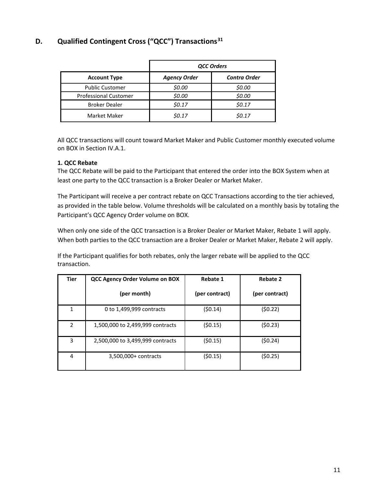# <span id="page-11-0"></span>**D. Qualified Contingent Cross ("QCC") Transactions[31](#page-16-9)**

|                              | <b>QCC Orders</b>   |                     |  |  |  |
|------------------------------|---------------------|---------------------|--|--|--|
| <b>Account Type</b>          | <b>Agency Order</b> | <b>Contra Order</b> |  |  |  |
| <b>Public Customer</b>       | \$0.00              | \$0.00              |  |  |  |
| <b>Professional Customer</b> | \$0.00              | \$0.00              |  |  |  |
| <b>Broker Dealer</b>         | \$0.17              | \$0.17              |  |  |  |
| Market Maker                 | \$0.17              | <i><b>SO.17</b></i> |  |  |  |

All QCC transactions will count toward Market Maker and Public Customer monthly executed volume on BOX in Section IV.A.1.

#### **1. QCC Rebate**

The QCC Rebate will be paid to the Participant that entered the order into the BOX System when at least one party to the QCC transaction is a Broker Dealer or Market Maker.

The Participant will receive a per contract rebate on QCC Transactions according to the tier achieved, as provided in the table below. Volume thresholds will be calculated on a monthly basis by totaling the Participant's QCC Agency Order volume on BOX.

When only one side of the QCC transaction is a Broker Dealer or Market Maker, Rebate 1 will apply. When both parties to the QCC transaction are a Broker Dealer or Market Maker, Rebate 2 will apply.

If the Participant qualifies for both rebates, only the larger rebate will be applied to the QCC transaction.

| <b>Tier</b> | <b>QCC Agency Order Volume on BOX</b> | <b>Rebate 1</b> | <b>Rebate 2</b> |
|-------------|---------------------------------------|-----------------|-----------------|
|             | (per month)                           | (per contract)  | (per contract)  |
| 1           | 0 to 1,499,999 contracts              | (50.14)         | (50.22)         |
| 2           | 1,500,000 to 2,499,999 contracts      | (50.15)         | (50.23)         |
| 3           | 2,500,000 to 3,499,999 contracts      | (50.15)         | (50.24)         |
| 4           | 3,500,000+ contracts                  | (50.15)         | (50.25)         |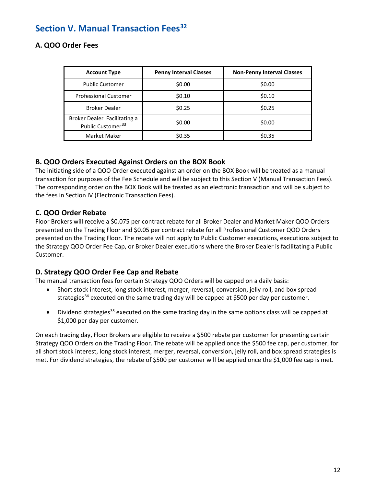# <span id="page-12-0"></span>**Section V. Manual Transaction Fees[32](#page-16-10)**

### <span id="page-12-1"></span>**A. QOO Order Fees**

| <b>Account Type</b>                                           | <b>Penny Interval Classes</b> | <b>Non-Penny Interval Classes</b> |
|---------------------------------------------------------------|-------------------------------|-----------------------------------|
| <b>Public Customer</b>                                        | \$0.00                        | \$0.00                            |
| <b>Professional Customer</b>                                  | \$0.10                        | \$0.10                            |
| <b>Broker Dealer</b>                                          | \$0.25                        | \$0.25                            |
| Broker Dealer Facilitating a<br>Public Customer <sup>33</sup> | \$0.00                        | \$0.00                            |
| Market Maker                                                  | \$0.35                        | \$0.35                            |

# <span id="page-12-2"></span>**B. QOO Orders Executed Against Orders on the BOX Book**

The initiating side of a QOO Order executed against an order on the BOX Book will be treated as a manual transaction for purposes of the Fee Schedule and will be subject to this Section V (Manual Transaction Fees). The corresponding order on the BOX Book will be treated as an electronic transaction and will be subject to the fees in Section IV (Electronic Transaction Fees).

# <span id="page-12-3"></span>**C. QOO Order Rebate**

Floor Brokers will receive a \$0.075 per contract rebate for all Broker Dealer and Market Maker QOO Orders presented on the Trading Floor and \$0.05 per contract rebate for all Professional Customer QOO Orders presented on the Trading Floor. The rebate will not apply to Public Customer executions, executions subject to the Strategy QOO Order Fee Cap, or Broker Dealer executions where the Broker Dealer is facilitating a Public Customer.

# <span id="page-12-4"></span>**D. Strategy QOO Order Fee Cap and Rebate**

The manual transaction fees for certain Strategy QOO Orders will be capped on a daily basis:

- Short stock interest, long stock interest, merger, reversal, conversion, jelly roll, and box spread strategies<sup>[34](#page-16-12)</sup> executed on the same trading day will be capped at \$500 per day per customer.
- Dividend strategies<sup>[35](#page-16-13)</sup> executed on the same trading day in the same options class will be capped at \$1,000 per day per customer.

On each trading day, Floor Brokers are eligible to receive a \$500 rebate per customer for presenting certain Strategy QOO Orders on the Trading Floor. The rebate will be applied once the \$500 fee cap, per customer, for all short stock interest, long stock interest, merger, reversal, conversion, jelly roll, and box spread strategies is met. For dividend strategies, the rebate of \$500 per customer will be applied once the \$1,000 fee cap is met.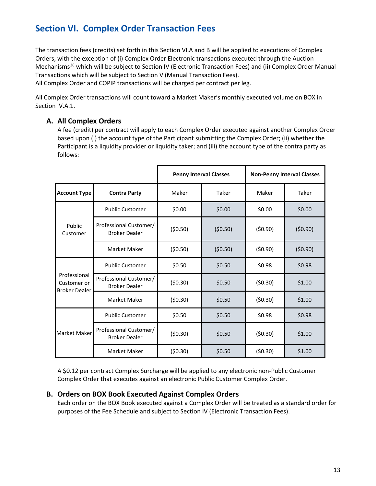# <span id="page-13-0"></span>**Section VI. Complex Order Transaction Fees**

The transaction fees (credits) set forth in this Section VI.A and B will be applied to executions of Complex Orders, with the exception of (i) Complex Order Electronic transactions executed through the Auction Mechanisms<sup>[36](#page-16-14)</sup> which will be subject to Section IV (Electronic Transaction Fees) and (ii) Complex Order Manual Transactions which will be subject to Section V (Manual Transaction Fees). All Complex Order and COPIP transactions will be charged per contract per leg.

All Complex Order transactions will count toward a Market Maker's monthly executed volume on BOX in Section IV.A.1.

# <span id="page-13-1"></span>**A. All Complex Orders**

A fee (credit) per contract will apply to each Complex Order executed against another Complex Order based upon (i) the account type of the Participant submitting the Complex Order; (ii) whether the Participant is a liquidity provider or liquidity taker; and (iii) the account type of the contra party as follows:

|                                                     |                                                |         | <b>Penny Interval Classes</b><br><b>Non-Penny Interval Classes</b> |         |         |
|-----------------------------------------------------|------------------------------------------------|---------|--------------------------------------------------------------------|---------|---------|
| <b>Account Type</b>                                 | <b>Contra Party</b>                            | Maker   | Taker                                                              | Maker   | Taker   |
|                                                     | <b>Public Customer</b>                         | \$0.00  | \$0.00                                                             | \$0.00  | \$0.00  |
| Public<br>Customer                                  | Professional Customer/<br><b>Broker Dealer</b> | (50.50) | (50.50)                                                            | (50.90) | (50.90) |
|                                                     | <b>Market Maker</b>                            | (50.50) | (50.50)                                                            | (50.90) | (50.90) |
| Professional<br>Customer or<br><b>Broker Dealer</b> | <b>Public Customer</b>                         | \$0.50  | \$0.50                                                             | \$0.98  | \$0.98  |
|                                                     | Professional Customer/<br><b>Broker Dealer</b> | (50.30) | \$0.50                                                             | (50.30) | \$1.00  |
|                                                     | <b>Market Maker</b>                            | (50.30) | \$0.50                                                             | (50.30) | \$1.00  |
| Market Maker                                        | <b>Public Customer</b>                         | \$0.50  | \$0.50                                                             | \$0.98  | \$0.98  |
|                                                     | Professional Customer/<br><b>Broker Dealer</b> | (50.30) | \$0.50                                                             | (50.30) | \$1.00  |
|                                                     | <b>Market Maker</b>                            | (50.30) | \$0.50                                                             | (50.30) | \$1.00  |

A \$0.12 per contract Complex Surcharge will be applied to any electronic non-Public Customer Complex Order that executes against an electronic Public Customer Complex Order.

### <span id="page-13-2"></span>**B. Orders on BOX Book Executed Against Complex Orders**

Each order on the BOX Book executed against a Complex Order will be treated as a standard order for purposes of the Fee Schedule and subject to Section IV (Electronic Transaction Fees).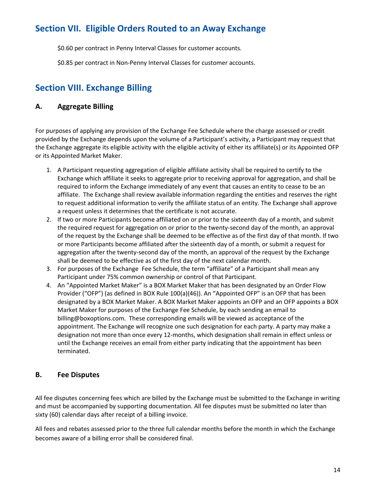# <span id="page-14-0"></span>**Section VII. Eligible Orders Routed to an Away Exchange**

\$0.60 per contract in Penny Interval Classes for customer accounts.

\$0.85 per contract in Non-Penny Interval Classes for customer accounts.

# <span id="page-14-1"></span>**Section VIII. Exchange Billing**

# <span id="page-14-2"></span>**A. Aggregate Billing**

For purposes of applying any provision of the Exchange Fee Schedule where the charge assessed or credit provided by the Exchange depends upon the volume of a Participant's activity, a Participant may request that the Exchange aggregate its eligible activity with the eligible activity of either its affiliate(s) or its Appointed OFP or its Appointed Market Maker.

- 1. A Participant requesting aggregation of eligible affiliate activity shall be required to certify to the Exchange which affiliate it seeks to aggregate prior to receiving approval for aggregation, and shall be required to inform the Exchange immediately of any event that causes an entity to cease to be an affiliate. The Exchange shall review available information regarding the entities and reserves the right to request additional information to verify the affiliate status of an entity. The Exchange shall approve a request unless it determines that the certificate is not accurate.
- 2. If two or more Participants become affiliated on or prior to the sixteenth day of a month, and submit the required request for aggregation on or prior to the twenty-second day of the month, an approval of the request by the Exchange shall be deemed to be effective as of the first day of that month. If two or more Participants become affiliated after the sixteenth day of a month, or submit a request for aggregation after the twenty-second day of the month, an approval of the request by the Exchange shall be deemed to be effective as of the first day of the next calendar month.
- 3. For purposes of the Exchange Fee Schedule, the term "affiliate" of a Participant shall mean any Participant under 75% common ownership or control of that Participant.
- 4. An "Appointed Market Maker" is a BOX Market Maker that has been designated by an Order Flow Provider ("OFP") (as defined in BOX Rule 100(a)(46)). An "Appointed OFP" is an OFP that has been designated by a BOX Market Maker. A BOX Market Maker appoints an OFP and an OFP appoints a BOX Market Maker for purposes of the Exchange Fee Schedule, by each sending an email to billing@boxoptions.com. These corresponding emails will be viewed as acceptance of the appointment. The Exchange will recognize one such designation for each party. A party may make a designation not more than once every 12-months, which designation shall remain in effect unless or until the Exchange receives an email from either party indicating that the appointment has been terminated.

# <span id="page-14-3"></span>**B. Fee Disputes**

All fee disputes concerning fees which are billed by the Exchange must be submitted to the Exchange in writing and must be accompanied by supporting documentation. All fee disputes must be submitted no later than sixty (60) calendar days after receipt of a billing invoice.

All fees and rebates assessed prior to the three full calendar months before the month in which the Exchange becomes aware of a billing error shall be considered final.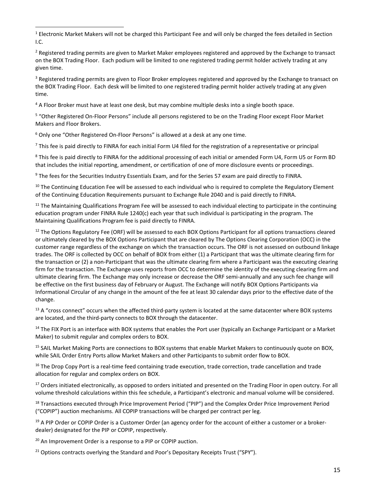<span id="page-15-2"></span><sup>3</sup> Registered trading permits are given to Floor Broker employees registered and approved by the Exchange to transact on the BOX Trading Floor. Each desk will be limited to one registered trading permit holder actively trading at any given time.

<span id="page-15-3"></span><sup>4</sup> A Floor Broker must have at least one desk, but may combine multiple desks into a single booth space.

<span id="page-15-4"></span><sup>5</sup> "Other Registered On-Floor Persons" include all persons registered to be on the Trading Floor except Floor Market Makers and Floor Brokers.

<span id="page-15-5"></span><sup>6</sup> Only one "Other Registered On-Floor Persons" is allowed at a desk at any one time.

<span id="page-15-6"></span> $<sup>7</sup>$  This fee is paid directly to FINRA for each initial Form U4 filed for the registration of a representative or principal</sup>

<span id="page-15-7"></span><sup>8</sup> This fee is paid directly to FINRA for the additional processing of each initial or amended Form U4, Form U5 or Form BD that includes the initial reporting, amendment, or certification of one of more disclosure events or proceedings.

<span id="page-15-8"></span><sup>9</sup> The fees for the Securities Industry Essentials Exam, and for the Series 57 exam are paid directly to FINRA.

<span id="page-15-9"></span> $10$  The Continuing Education Fee will be assessed to each individual who is required to complete the Regulatory Element of the Continuing Education Requirements pursuant to Exchange Rule 2040 and is paid directly to FINRA.

<span id="page-15-10"></span> $11$  The Maintaining Qualifications Program Fee will be assessed to each individual electing to participate in the continuing education program under FINRA Rule 1240(c) each year that such individual is participating in the program. The Maintaining Qualifications Program fee is paid directly to FINRA.

<span id="page-15-11"></span> $12$  The Options Regulatory Fee (ORF) will be assessed to each BOX Options Participant for all options transactions cleared or ultimately cleared by the BOX Options Participant that are cleared by The Options Clearing Corporation (OCC) in the customer range regardless of the exchange on which the transaction occurs. The ORF is not assessed on outbound linkage trades. The ORF is collected by OCC on behalf of BOX from either (1) a Participant that was the ultimate clearing firm for the transaction or (2) a non-Participant that was the ultimate clearing firm where a Participant was the executing clearing firm for the transaction. The Exchange uses reports from OCC to determine the identity of the executing clearing firm and ultimate clearing firm. The Exchange may only increase or decrease the ORF semi-annually and any such fee change will be effective on the first business day of February or August. The Exchange will notify BOX Options Participants via Informational Circular of any change in the amount of the fee at least 30 calendar days prior to the effective date of the change.

<span id="page-15-12"></span> $13$  A "cross connect" occurs when the affected third-party system is located at the same datacenter where BOX systems are located, and the third-party connects to BOX through the datacenter.

<span id="page-15-13"></span><sup>14</sup> The FIX Port is an interface with BOX systems that enables the Port user (typically an Exchange Participant or a Market Maker) to submit regular and complex orders to BOX.

<span id="page-15-14"></span><sup>15</sup> SAIL Market Making Ports are connections to BOX systems that enable Market Makers to continuously quote on BOX, while SAIL Order Entry Ports allow Market Makers and other Participants to submit order flow to BOX.

<span id="page-15-15"></span> $16$  The Drop Copy Port is a real-time feed containing trade execution, trade correction, trade cancellation and trade allocation for regular and complex orders on BOX.

<span id="page-15-16"></span><sup>17</sup> Orders initiated electronically, as opposed to orders initiated and presented on the Trading Floor in open outcry. For all volume threshold calculations within this fee schedule, a Participant's electronic and manual volume will be considered.

<span id="page-15-17"></span><sup>18</sup> Transactions executed through Price Improvement Period ("PIP") and the Complex Order Price Improvement Period ("COPIP") auction mechanisms. All COPIP transactions will be charged per contract per leg.

<span id="page-15-18"></span> $19$  A PIP Order or COPIP Order is a Customer Order (an agency order for the account of either a customer or a brokerdealer) designated for the PIP or COPIP, respectively.

<span id="page-15-19"></span> $20$  An Improvement Order is a response to a PIP or COPIP auction.

<span id="page-15-20"></span> $21$  Options contracts overlying the Standard and Poor's Depositary Receipts Trust ("SPY").

<span id="page-15-0"></span><sup>&</sup>lt;sup>1</sup> Electronic Market Makers will not be charged this Participant Fee and will only be charged the fees detailed in Section I.C.

<span id="page-15-1"></span><sup>&</sup>lt;sup>2</sup> Registered trading permits are given to Market Maker employees registered and approved by the Exchange to transact on the BOX Trading Floor. Each podium will be limited to one registered trading permit holder actively trading at any given time.